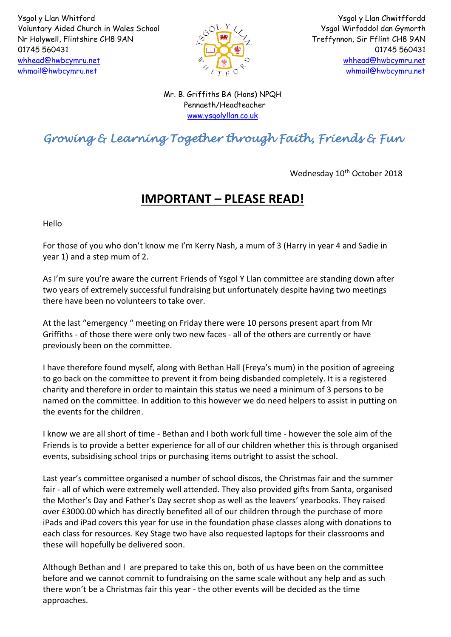

Ysgol y Llan Chwitffordd Ysgol Wirfoddol dan Gymorth Treffynnon, Sir Fflint CH8 9AN 01745 560431 [whhead@hwbcymru.net](mailto:Head.WhitfordCP@flintshire.gov.uk) [whmail@hwbcymru.net](mailto:whmail@hwbcymru.net)

Mr. B. Griffiths BA (Hons) NPQH Pennaeth/Headteacher [www.ysgolyllan.co.uk](http://www.ysgolyllan.co.uk/)

## *Growing & Learning Together through Faith, Friends & Fun*

Wednesday 10<sup>th</sup> October 2018

## **IMPORTANT – PLEASE READ!**

Hello

For those of you who don't know me I'm Kerry Nash, a mum of 3 (Harry in year 4 and Sadie in year 1) and a step mum of 2.

As I'm sure you're aware the current Friends of Ysgol Y Llan committee are standing down after two years of extremely successful fundraising but unfortunately despite having two meetings there have been no volunteers to take over.

At the last "emergency " meeting on Friday there were 10 persons present apart from Mr Griffiths - of those there were only two new faces - all of the others are currently or have previously been on the committee.

I have therefore found myself, along with Bethan Hall (Freya's mum) in the position of agreeing to go back on the committee to prevent it from being disbanded completely. It is a registered charity and therefore in order to maintain this status we need a minimum of 3 persons to be named on the committee. In addition to this however we do need helpers to assist in putting on the events for the children.

I know we are all short of time - Bethan and I both work full time - however the sole aim of the Friends is to provide a better experience for all of our children whether this is through organised events, subsidising school trips or purchasing items outright to assist the school.

Last year's committee organised a number of school discos, the Christmas fair and the summer fair - all of which were extremely well attended. They also provided gifts from Santa, organised the Mother's Day and Father's Day secret shop as well as the leavers' yearbooks. They raised over £3000.00 which has directly benefited all of our children through the purchase of more iPads and iPad covers this year for use in the foundation phase classes along with donations to each class for resources. Key Stage two have also requested laptops for their classrooms and these will hopefully be delivered soon.

Although Bethan and I are prepared to take this on, both of us have been on the committee before and we cannot commit to fundraising on the same scale without any help and as such there won't be a Christmas fair this year - the other events will be decided as the time approaches.